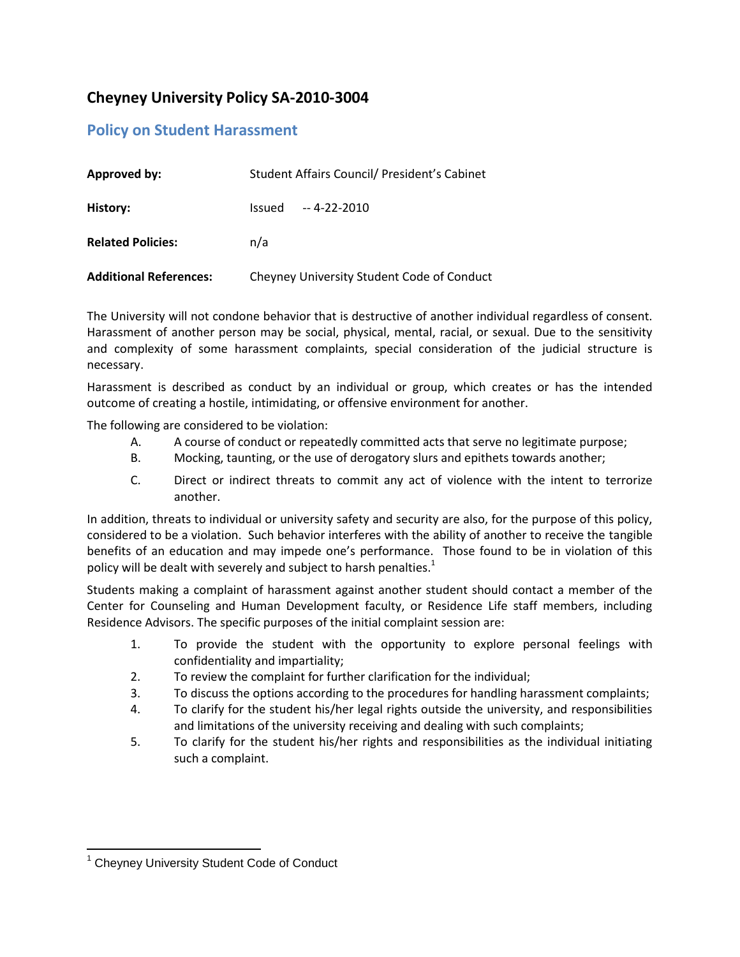## **Cheyney University Policy SA-2010-3004**

## **Policy on Student Harassment**

| <b>Approved by:</b>           | Student Affairs Council/ President's Cabinet |
|-------------------------------|----------------------------------------------|
| History:                      | -- 4-22-2010<br>Issued                       |
| <b>Related Policies:</b>      | n/a                                          |
| <b>Additional References:</b> | Cheyney University Student Code of Conduct   |

The University will not condone behavior that is destructive of another individual regardless of consent. Harassment of another person may be social, physical, mental, racial, or sexual. Due to the sensitivity and complexity of some harassment complaints, special consideration of the judicial structure is necessary.

Harassment is described as conduct by an individual or group, which creates or has the intended outcome of creating a hostile, intimidating, or offensive environment for another.

The following are considered to be violation:

- A. A course of conduct or repeatedly committed acts that serve no legitimate purpose;
- B. Mocking, taunting, or the use of derogatory slurs and epithets towards another;
- C. Direct or indirect threats to commit any act of violence with the intent to terrorize another.

In addition, threats to individual or university safety and security are also, for the purpose of this policy, considered to be a violation. Such behavior interferes with the ability of another to receive the tangible benefits of an education and may impede one's performance. Those found to be in violation of this policy will be dealt with severely and subject to harsh penalties. $1$ 

Students making a complaint of harassment against another student should contact a member of the Center for Counseling and Human Development faculty, or Residence Life staff members, including Residence Advisors. The specific purposes of the initial complaint session are:

- 1. To provide the student with the opportunity to explore personal feelings with confidentiality and impartiality;
- 2. To review the complaint for further clarification for the individual;
- 3. To discuss the options according to the procedures for handling harassment complaints;
- 4. To clarify for the student his/her legal rights outside the university, and responsibilities and limitations of the university receiving and dealing with such complaints;
- 5. To clarify for the student his/her rights and responsibilities as the individual initiating such a complaint.

l <sup>1</sup> Cheyney University Student Code of Conduct